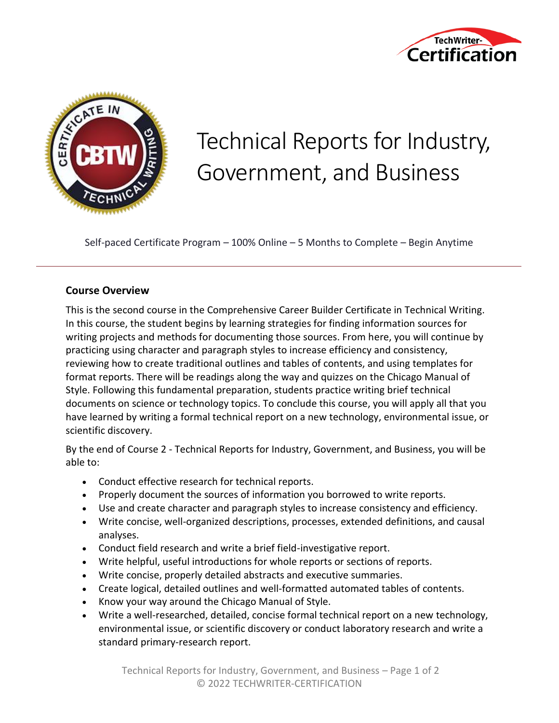



# Technical Reports for Industry, Government, and Business

Self-paced Certificate Program – 100% Online – 5 Months to Complete – Begin Anytime

#### **Course Overview**

This is the second course in the Comprehensive Career Builder Certificate in Technical Writing. In this course, the student begins by learning strategies for finding information sources for writing projects and methods for documenting those sources. From here, you will continue by practicing using character and paragraph styles to increase efficiency and consistency, reviewing how to create traditional outlines and tables of contents, and using templates for format reports. There will be readings along the way and quizzes on the Chicago Manual of Style. Following this fundamental preparation, students practice writing brief technical documents on science or technology topics. To conclude this course, you will apply all that you have learned by writing a formal technical report on a new technology, environmental issue, or scientific discovery.

By the end of Course 2 - Technical Reports for Industry, Government, and Business, you will be able to:

- Conduct effective research for technical reports.
- Properly document the sources of information you borrowed to write reports.
- Use and create character and paragraph styles to increase consistency and efficiency.
- Write concise, well-organized descriptions, processes, extended definitions, and causal analyses.
- Conduct field research and write a brief field-investigative report.
- Write helpful, useful introductions for whole reports or sections of reports.
- Write concise, properly detailed abstracts and executive summaries.
- Create logical, detailed outlines and well-formatted automated tables of contents.
- Know your way around the Chicago Manual of Style.
- Write a well-researched, detailed, concise formal technical report on a new technology, environmental issue, or scientific discovery or conduct laboratory research and write a standard primary-research report.